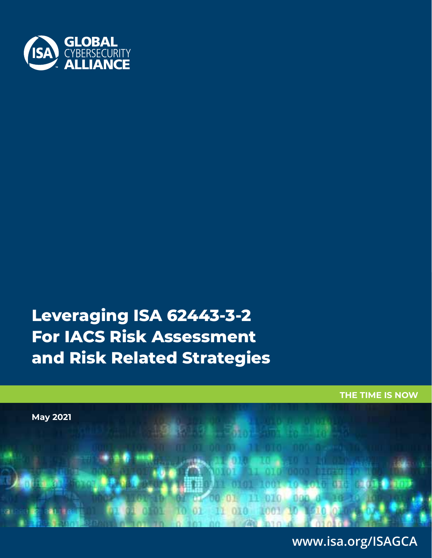

# **Leveraging ISA 62443-3-2 For IACS Risk Assessment and Risk Related Strategies**

**THE TIME IS NOW**



WWW.ISA.ORG/ISAGCA 1 **www.isa.org/ISAGCA**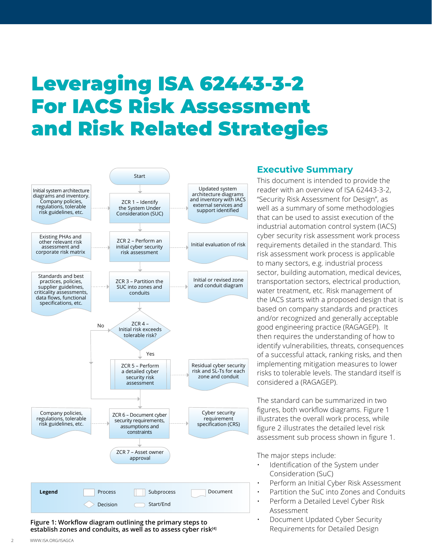# Leveraging ISA 62443-3-2 For IACS Risk Assessment and Risk Related Strategies



**Figure 1: Workflow diagram outlining the primary steps to establish zones and conduits, as well as to assess cyber risk[4]**

## **Executive Summary**

This document is intended to provide the reader with an overview of ISA 62443-3-2, "Security Risk Assessment for Design", as well as a summary of some methodologies that can be used to assist execution of the industrial automation control system (IACS) cyber security risk assessment work process requirements detailed in the standard. This risk assessment work process is applicable to many sectors, e.g. industrial process sector, building automation, medical devices, transportation sectors, electrical production, water treatment, etc. Risk management of the IACS starts with a proposed design that is based on company standards and practices and/or recognized and generally acceptable good engineering practice (RAGAGEP). It then requires the understanding of how to identify vulnerabilities, threats, consequences of a successful attack, ranking risks, and then implementing mitigation measures to lower risks to tolerable levels. The standard itself is considered a (RAGAGEP).

The standard can be summarized in two figures, both workflow diagrams. Figure 1 illustrates the overall work process, while figure 2 illustrates the detailed level risk assessment sub process shown in figure 1.

The major steps include:

- Identification of the System under Consideration (SuC)
- Perform an Initial Cyber Risk Assessment
- Partition the SuC into Zones and Conduits
- Perform a Detailed Level Cyber Risk Assessment
- Document Updated Cyber Security Requirements for Detailed Design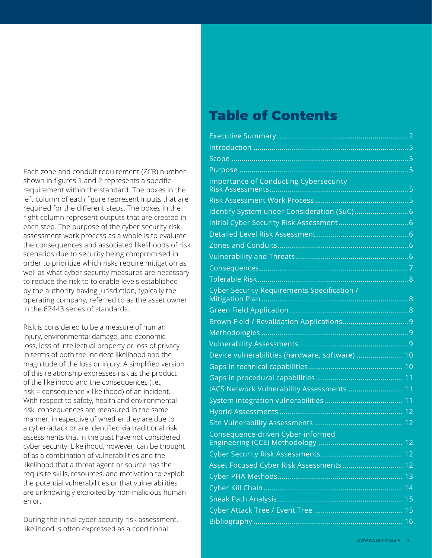Each zone and conduit requirement (ZCR) number shown in figures 1 and 2 represents a specific requirement within the standard. The boxes in the left column of each figure represent inputs that are required for the different steps. The boxes in the right column represent outputs that are created in each step. The purpose of the cyber security risk assessment work process as a whole is to evaluate the consequences and associated likelihoods of risk scenarios due to security being compromised in order to prioritize which risks require mitigation as well as what cyber security measures are necessary to reduce the risk to tolerable levels established by the authority having jurisdiction, typically the operating company, referred to as the asset owner in the 62443 series of standards.

Risk is considered to be a measure of human injury, environmental damage, and economic loss, loss of intellectual property or loss of privacy in terms of both the incident likelihood and the magnitude of the loss or injury. A simplified version of this relationship expresses risk as the product of the likelihood and the consequences (i.e., risk = consequence x likelihood) of an incident. With respect to safety, health and environmental risk, consequences are measured in the same manner, irrespective of whether they are due to a cyber-attack or are identified via traditional risk assessments that in the past have not considered cyber security. Likelihood, however, can be thought of as a combination of vulnerabilities and the likelihood that a threat agent or source has the requisite skills, resources, and motivation to exploit the potential vulnerabilities or that vulnerabilities are unknowingly exploited by non-malicious human error.

During the initial cyber security risk assessment, likelihood is often expressed as a conditional

# Table of Contents

| <b>Importance of Conducting Cybersecurity</b>   |  |
|-------------------------------------------------|--|
|                                                 |  |
|                                                 |  |
|                                                 |  |
|                                                 |  |
|                                                 |  |
|                                                 |  |
|                                                 |  |
|                                                 |  |
| Cyber Security Requirements Specification /     |  |
|                                                 |  |
|                                                 |  |
|                                                 |  |
|                                                 |  |
| Device vulnerabilities (hardware, software)  10 |  |
|                                                 |  |
|                                                 |  |
| IACS Network Vulnerability Assessments  11      |  |
|                                                 |  |
|                                                 |  |
|                                                 |  |
| Consequence-driven Cyber-informed               |  |
|                                                 |  |
| Asset Focused Cyber Risk Assessments 12         |  |
|                                                 |  |
|                                                 |  |
|                                                 |  |
|                                                 |  |
|                                                 |  |
|                                                 |  |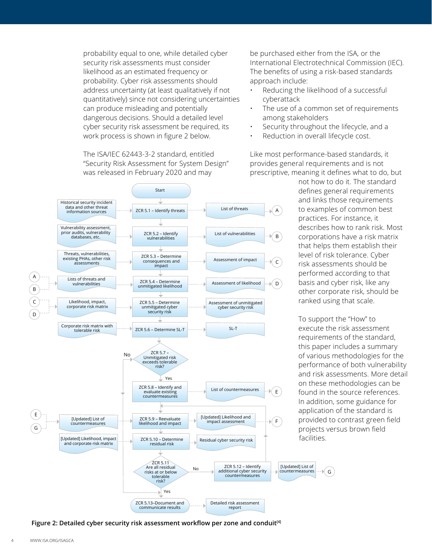probability equal to one, while detailed cyber security risk assessments must consider likelihood as an estimated frequency or probability. Cyber risk assessments should address uncertainty (at least qualitatively if not quantitatively) since not considering uncertainties can produce misleading and potentially dangerous decisions. Should a detailed level cyber security risk assessment be required, its work process is shown in figure 2 below.

The ISA/IEC 62443-3-2 standard, entitled "Security Risk Assessment for System Design" was released in February 2020 and may



be purchased either from the ISA, or the International Electrotechnical Commission (IEC). The benefits of using a risk-based standards approach include:

- Reducing the likelihood of a successful cyberattack
- The use of a common set of requirements among stakeholders
- Security throughout the lifecycle, and a
- Reduction in overall lifecycle cost.

Like most performance-based standards, it provides general requirements and is not prescriptive, meaning it defines what to do, but

> not how to do it. The standard defines general requirements and links those requirements to examples of common best practices. For instance, it describes how to rank risk. Most corporations have a risk matrix that helps them establish their level of risk tolerance. Cyber risk assessments should be performed according to that basis and cyber risk, like any other corporate risk, should be ranked using that scale.

To support the "How" to execute the risk assessment requirements of the standard, this paper includes a summary of various methodologies for the performance of both vulnerability and risk assessments. More detail on these methodologies can be found in the source references. In addition, some guidance for application of the standard is provided to contrast green field projects versus brown field facilities.

G

**Figure 2: Detailed cyber security risk assessment workflow per zone and conduit[4]**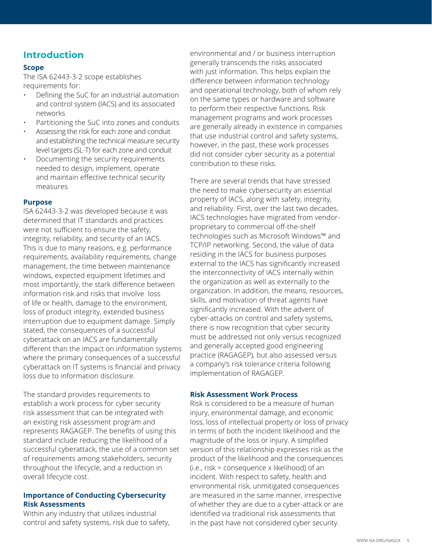## **Introduction**

#### **Scope**

The ISA 62443-3-2 scope establishes requirements for:

- Defining the SuC for an industrial automation and control system (IACS) and its associated networks
- Partitioning the SuC into zones and conduits
- Assessing the risk for each zone and conduit and establishing the technical measure security level targets (SL-T) for each zone and conduit
- Documenting the security requirements needed to design, implement, operate and maintain effective technical security measures

#### **Purpose**

ISA 62443-3-2 was developed because it was determined that IT standards and practices were not sufficient to ensure the safety, integrity, reliability, and security of an IACS. This is due to many reasons, e.g. performance requirements, availability requirements, change management, the time between maintenance windows, expected equipment lifetimes and most importantly, the stark difference between information risk and risks that involve loss of life or health, damage to the environment, loss of product integrity, extended business interruption due to equipment damage. Simply stated, the consequences of a successful cyberattack on an IACS are fundamentally different than the impact on information systems where the primary consequences of a successful cyberattack on IT systems is financial and privacy loss due to information disclosure.

The standard provides requirements to establish a work process for cyber security risk assessment that can be integrated with an existing risk assessment program and represents RAGAGEP. The benefits of using this standard include reducing the likelihood of a successful cyberattack, the use of a common set of requirements among stakeholders, security throughout the lifecycle, and a reduction in overall lifecycle cost.

#### **Importance of Conducting Cybersecurity Risk Assessments**

Within any industry that utilizes industrial control and safety systems, risk due to safety, environmental and / or business interruption generally transcends the risks associated with just information. This helps explain the difference between information technology and operational technology, both of whom rely on the same types or hardware and software to perform their respective functions. Risk management programs and work processes are generally already in existence in companies that use industrial control and safety systems, however, in the past, these work processes did not consider cyber security as a potential contribution to these risks.

There are several trends that have stressed the need to make cybersecurity an essential property of IACS, along with safety, integrity, and reliability. First, over the last two decades, IACS technologies have migrated from vendorproprietary to commercial off-the-shelf technologies such as Microsoft Windows™ and TCP/IP networking. Second, the value of data residing in the IACS for business purposes external to the IACS has significantly increased the interconnectivity of IACS internally within the organization as well as externally to the organization. In addition, the means, resources, skills, and motivation of threat agents have significantly increased. With the advent of cyber-attacks on control and safety systems, there is now recognition that cyber security must be addressed not only versus recognized and generally accepted good engineering practice (RAGAGEP), but also assessed versus a company's risk tolerance criteria following implementation of RAGAGEP.

#### **Risk Assessment Work Process**

Risk is considered to be a measure of human injury, environmental damage, and economic loss, loss of intellectual property or loss of privacy in terms of both the incident likelihood and the magnitude of the loss or injury. A simplified version of this relationship expresses risk as the product of the likelihood and the consequences (i.e., risk = consequence x likelihood) of an incident. With respect to safety, health and environmental risk, unmitigated consequences are measured in the same manner, irrespective of whether they are due to a cyber-attack or are identified via traditional risk assessments that in the past have not considered cyber security.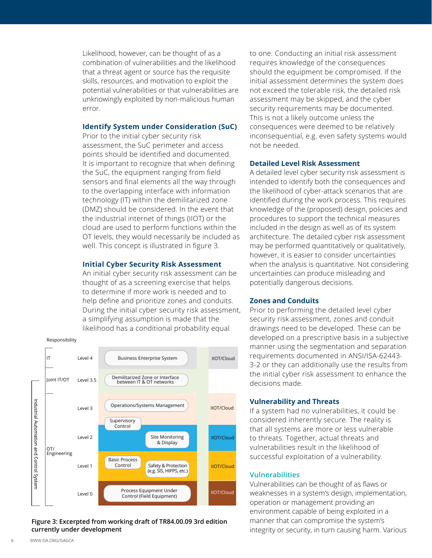Likelihood, however, can be thought of as a combination of vulnerabilities and the likelihood that a threat agent or source has the requisite skills, resources, and motivation to exploit the potential vulnerabilities or that vulnerabilities are unknowingly exploited by non-malicious human error.

#### **Identify System under Consideration (SuC)**

Prior to the initial cyber security risk assessment, the SuC perimeter and access points should be identified and documented. It is important to recognize that when defining the SuC, the equipment ranging from field sensors and final elements all the way through to the overlapping interface with information technology (IT) within the demilitarized zone (DMZ) should be considered. In the event that the industrial internet of things (IIOT) or the cloud are used to perform functions within the OT levels, they would necessarily be included as well. This concept is illustrated in figure 3.

#### **Initial Cyber Security Risk Assessment**

An initial cyber security risk assessment can be thought of as a screening exercise that helps to determine if more work is needed and to help define and prioritize zones and conduits. During the initial cyber security risk assessment, a simplifying assumption is made that the likelihood has a conditional probability equal

#### Responsibility



#### **Figure 3: Excerpted from working draft of TR84.00.09 3rd edition currently under development**

to one. Conducting an initial risk assessment requires knowledge of the consequences should the equipment be compromised. If the initial assessment determines the system does not exceed the tolerable risk, the detailed risk assessment may be skipped, and the cyber security requirements may be documented. This is not a likely outcome unless the consequences were deemed to be relatively inconsequential, e.g. even safety systems would not be needed.

#### **Detailed Level Risk Assessment**

A detailed level cyber security risk assessment is intended to identify both the consequences and the likelihood of cyber-attack scenarios that are identified during the work process. This requires knowledge of the (proposed) design, policies and procedures to support the technical measures included in the design as well as of its system architecture. The detailed cyber risk assessment may be performed quantitatively or qualitatively, however, it is easier to consider uncertainties when the analysis is quantitative. Not considering uncertainties can produce misleading and potentially dangerous decisions.

#### **Zones and Conduits**

Prior to performing the detailed level cyber security risk assessment, zones and conduit drawings need to be developed. These can be developed on a prescriptive basis in a subjective manner using the segmentation and separation requirements documented in ANSI/ISA-62443- 3-2 or they can additionally use the results from the initial cyber risk assessment to enhance the decisions made.

#### **Vulnerability and Threats**

If a system had no vulnerabilities, it could be considered inherently secure. The reality is that all systems are more or less vulnerable to threats. Together, actual threats and vulnerabilities result in the likelihood of successful exploitation of a vulnerability.

#### **Vulnerabilities**

Vulnerabilities can be thought of as flaws or weaknesses in a system's design, implementation, operation or management providing an environment capable of being exploited in a manner that can compromise the system's integrity or security, in turn causing harm. Various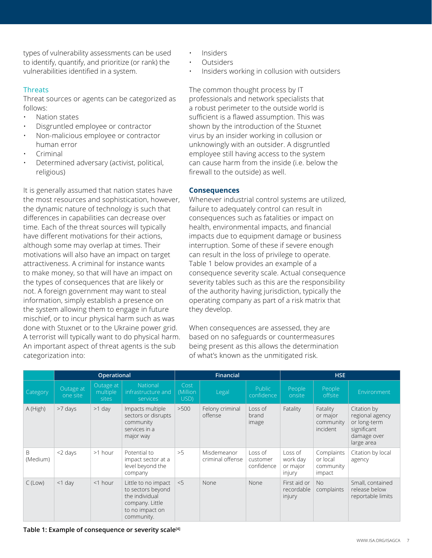types of vulnerability assessments can be used to identify, quantify, and prioritize (or rank) the vulnerabilities identified in a system.

#### **Threats**

Threat sources or agents can be categorized as follows:

- Nation states
- Disgruntled employee or contractor
- Non-malicious employee or contractor human error
- Criminal
- Determined adversary (activist, political, religious)

It is generally assumed that nation states have the most resources and sophistication, however, the dynamic nature of technology is such that differences in capabilities can decrease over time. Each of the threat sources will typically have different motivations for their actions, although some may overlap at times. Their motivations will also have an impact on target attractiveness. A criminal for instance wants to make money, so that will have an impact on the types of consequences that are likely or not. A foreign government may want to steal information, simply establish a presence on the system allowing them to engage in future mischief, or to incur physical harm such as was done with Stuxnet or to the Ukraine power grid. A terrorist will typically want to do physical harm. An important aspect of threat agents is the sub categorization into:

- Insiders
- Outsiders
- Insiders working in collusion with outsiders

The common thought process by IT professionals and network specialists that a robust perimeter to the outside world is sufficient is a flawed assumption. This was shown by the introduction of the Stuxnet virus by an insider working in collusion or unknowingly with an outsider. A disgruntled employee still having access to the system can cause harm from the inside (i.e. below the firewall to the outside) as well.

#### **Consequences**

Whenever industrial control systems are utilized, failure to adequately control can result in consequences such as fatalities or impact on health, environmental impacts, and financial impacts due to equipment damage or business interruption. Some of these if severe enough can result in the loss of privilege to operate. Table 1 below provides an example of a consequence severity scale. Actual consequence severity tables such as this are the responsibility of the authority having jurisdiction, typically the operating company as part of a risk matrix that they develop.

When consequences are assessed, they are based on no safeguards or countermeasures being present as this allows the determination of what's known as the unmitigated risk.

|                          |                       | Operational                    |                                                                                                                |                          | <b>Financial</b>                |                                   |                                           | <b>HSE</b>                                    |                                                                                            |  |  |
|--------------------------|-----------------------|--------------------------------|----------------------------------------------------------------------------------------------------------------|--------------------------|---------------------------------|-----------------------------------|-------------------------------------------|-----------------------------------------------|--------------------------------------------------------------------------------------------|--|--|
| Category                 | Outage at<br>one site | Outage at<br>multiple<br>sites | National<br>infrastructure and<br>services                                                                     | Cost<br>(Million<br>USD) | Legal                           | Public<br>confidence              | People<br>onsite                          | People<br>offsite                             | Environment                                                                                |  |  |
| A (High)                 | >7 days               | $>1$ day                       | Impacts multiple<br>sectors or disrupts<br>community<br>services in a<br>major way                             | >500                     | Felony criminal<br>offense      | Loss of<br>brand<br>image         | Fatality                                  | Fatality<br>or major<br>community<br>incident | Citation by<br>regional agency<br>or long-term<br>significant<br>damage over<br>large area |  |  |
| <sub>B</sub><br>(Medium) | $<$ 2 days            | >1 hour                        | Potential to<br>impact sector at a<br>level beyond the<br>company                                              | >5                       | Misdemeanor<br>criminal offense | Loss of<br>customer<br>confidence | Loss of<br>work day<br>or major<br>injury | Complaints<br>or local<br>community<br>impact | Citation by local<br>agency                                                                |  |  |
| $C$ (Low)                | $<$ 1 day             | $<$ 1 hour                     | Little to no impact<br>to sectors beyond<br>the individual<br>company. Little<br>to no impact on<br>community. | < 5                      | <b>None</b>                     | None                              | First aid or<br>recordable<br>injury      | No<br>complaints                              | Small, contained<br>release below<br>reportable limits                                     |  |  |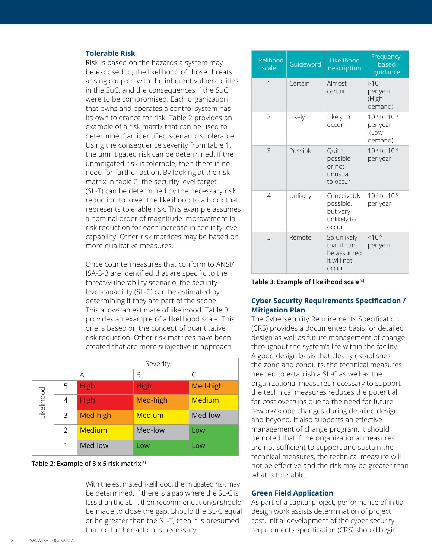#### **Tolerable Risk**

Risk is based on the hazards a system may be exposed to, the likelihood of those threats arising coupled with the inherent vulnerabilities in the SuC, and the consequences if the SuC were to be compromised. Each organization that owns and operates a control system has its own tolerance for risk. Table 2 provides an example of a risk matrix that can be used to determine if an identified scenario is tolerable. Using the consequence severity from table 1, the unmitigated risk can be determined. If the unmitigated risk is tolerable, then there is no need for further action. By looking at the risk matrix in table 2, the security level target (SL-T) can be determined by the necessary risk reduction to lower the likelihood to a block that represents tolerable risk. This example assumes a nominal order of magnitude improvement in risk reduction for each increase in security level capability. Other risk matrices may be based on more qualitative measures.

Once countermeasures that conform to ANSI/ ISA-3-3 are identified that are specific to the threat/vulnerability scenario, the security level capability (SL-C) can be estimated by determining if they are part of the scope. This allows an estimate of likelihood. Table 3 provides an example of a likelihood scale. This one is based on the concept of quantitative risk reduction. Other risk matrices have been created that are more subjective in approach.

|           |   | Severity      |               |               |  |  |  |  |
|-----------|---|---------------|---------------|---------------|--|--|--|--|
|           |   | A             | B             | C             |  |  |  |  |
|           | 5 | <b>High</b>   | <b>High</b>   | Med-high      |  |  |  |  |
| ikelihood | 4 | <b>High</b>   | Med-high      | <b>Medium</b> |  |  |  |  |
|           | 3 | Med-high      | <b>Medium</b> | Med-low       |  |  |  |  |
|           | 2 | <b>Medium</b> | Med-low       | Low           |  |  |  |  |
|           |   | Med-low       | Low           | Low           |  |  |  |  |

#### **Table 2: Example of 3 x 5 risk matrix[4]**

With the estimated likelihood, the mitigated risk may be determined. If there is a gap where the SL-C is less than the SL-T, then recommendation(s) should be made to close the gap. Should the SL-C equal or be greater than the SL-T, then it is presumed that no further action is necessary.

| Likelihood<br>scale | Guideword | Likelihood<br>description                                        | Frequency-<br>based<br>guidance                       |  |  |  |
|---------------------|-----------|------------------------------------------------------------------|-------------------------------------------------------|--|--|--|
| $\overline{1}$      | Certain   | Almost<br>certain                                                | $>10^{-1}$<br>per year<br>(High<br>demand)            |  |  |  |
| $\overline{2}$      | Likely    | Likely to<br>occur                                               | $10^{-1}$ to $10^{-3}$<br>per year<br>(Low<br>demand) |  |  |  |
| 3                   | Possible  | Ouite<br>possible<br>or not<br>unusual<br>to occur               | $10^{-3}$ to $10^{-4}$<br>per year                    |  |  |  |
| $\overline{4}$      | Unlikely  | Conceivably<br>possible,<br>but very<br>unlikely to<br>occur     | 10 <sup>-4</sup> to 10 <sup>-5</sup><br>per year      |  |  |  |
| 5                   | Remote    | So unlikely<br>that it can<br>be assumed<br>it will not<br>occur | $<10^{-5}$<br>per year                                |  |  |  |

**Table 3: Example of likelihood scale[4]**

#### **Cyber Security Requirements Specification / Mitigation Plan**

The Cybersecurity Requirements Specification (CRS) provides a documented basis for detailed design as well as future management of change throughout the system's life within the facility. A good design basis that clearly establishes the zone and conduits, the technical measures needed to establish a SL-C as well as the organizational measures necessary to support the technical measures reduces the potential for cost overruns due to the need for future rework/scope changes during detailed design and beyond. It also supports an effective management of change program. It should be noted that if the organizational measures are not sufficient to support and sustain the technical measures, the technical measure will not be effective and the risk may be greater than what is tolerable.

#### **Green Field Application**

As part of a capital project, performance of initial design work assists determination of project cost. Initial development of the cyber security requirements specification (CRS) should begin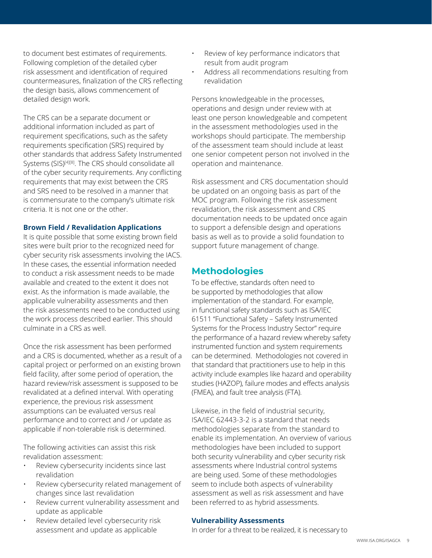to document best estimates of requirements. Following completion of the detailed cyber risk assessment and identification of required countermeasures, finalization of the CRS reflecting the design basis, allows commencement of detailed design work.

The CRS can be a separate document or additional information included as part of requirement specifications, such as the safety requirements specification (SRS) required by other standards that address Safety Instrumented Systems (SIS)<sup>[4][8]</sup>. The CRS should consolidate all of the cyber security requirements. Any conflicting requirements that may exist between the CRS and SRS need to be resolved in a manner that is commensurate to the company's ultimate risk criteria. It is not one or the other.

#### **Brown Field / Revalidation Applications**

It is quite possible that some existing brown field sites were built prior to the recognized need for cyber security risk assessments involving the IACS. In these cases, the essential information needed to conduct a risk assessment needs to be made available and created to the extent it does not exist. As the information is made available, the applicable vulnerability assessments and then the risk assessments need to be conducted using the work process described earlier. This should culminate in a CRS as well.

Once the risk assessment has been performed and a CRS is documented, whether as a result of a capital project or performed on an existing brown field facility, after some period of operation, the hazard review/risk assessment is supposed to be revalidated at a defined interval. With operating experience, the previous risk assessment assumptions can be evaluated versus real performance and to correct and / or update as applicable if non-tolerable risk is determined.

The following activities can assist this risk revalidation assessment:

- Review cybersecurity incidents since last revalidation
- Review cybersecurity related management of changes since last revalidation
- Review current vulnerability assessment and update as applicable
- Review detailed level cybersecurity risk assessment and update as applicable
- Review of key performance indicators that result from audit program
- Address all recommendations resulting from revalidation

Persons knowledgeable in the processes, operations and design under review with at least one person knowledgeable and competent in the assessment methodologies used in the workshops should participate. The membership of the assessment team should include at least one senior competent person not involved in the operation and maintenance.

Risk assessment and CRS documentation should be updated on an ongoing basis as part of the MOC program. Following the risk assessment revalidation, the risk assessment and CRS documentation needs to be updated once again to support a defensible design and operations basis as well as to provide a solid foundation to support future management of change.

## **Methodologies**

To be effective, standards often need to be supported by methodologies that allow implementation of the standard. For example, in functional safety standards such as ISA/IEC 61511 "Functional Safety – Safety Instrumented Systems for the Process Industry Sector" require the performance of a hazard review whereby safety instrumented function and system requirements can be determined. Methodologies not covered in that standard that practitioners use to help in this activity include examples like hazard and operability studies (HAZOP), failure modes and effects analysis (FMEA), and fault tree analysis (FTA).

Likewise, in the field of industrial security, ISA/IEC 62443-3-2 is a standard that needs methodologies separate from the standard to enable its implementation. An overview of various methodologies have been included to support both security vulnerability and cyber security risk assessments where Industrial control systems are being used. Some of these methodologies seem to include both aspects of vulnerability assessment as well as risk assessment and have been referred to as hybrid assessments.

#### **Vulnerability Assessments**

In order for a threat to be realized, it is necessary to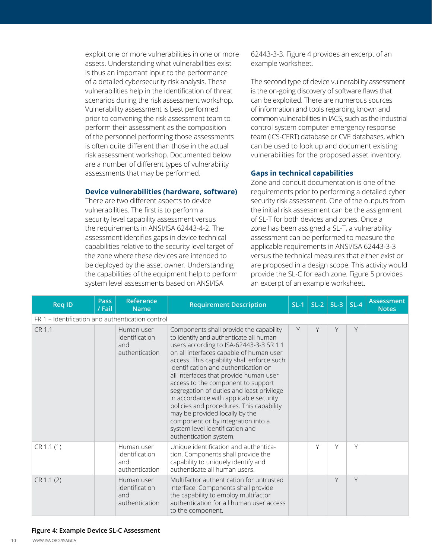exploit one or more vulnerabilities in one or more assets. Understanding what vulnerabilities exist is thus an important input to the performance of a detailed cybersecurity risk analysis. These vulnerabilities help in the identification of threat scenarios during the risk assessment workshop. Vulnerability assessment is best performed prior to convening the risk assessment team to perform their assessment as the composition of the personnel performing those assessments is often quite different than those in the actual risk assessment workshop. Documented below are a number of different types of vulnerability assessments that may be performed.

#### **Device vulnerabilities (hardware, software)**

There are two different aspects to device vulnerabilities. The first is to perform a security level capability assessment versus the requirements in ANSI/ISA 62443-4-2. The assessment identifies gaps in device technical capabilities relative to the security level target of the zone where these devices are intended to be deployed by the asset owner. Understanding the capabilities of the equipment help to perform system level assessments based on ANSI/ISA

62443-3-3. Figure 4 provides an excerpt of an example worksheet.

The second type of device vulnerability assessment is the on-going discovery of software flaws that can be exploited. There are numerous sources of information and tools regarding known and common vulnerabilities in IACS, such as the industrial control system computer emergency response team (ICS-CERT) database or CVE databases, which can be used to look up and document existing vulnerabilities for the proposed asset inventory.

#### **Gaps in technical capabilities**

Zone and conduit documentation is one of the requirements prior to performing a detailed cyber security risk assessment. One of the outputs from the initial risk assessment can be the assignment of SL-T for both devices and zones. Once a zone has been assigned a SL-T, a vulnerability assessment can be performed to measure the applicable requirements in ANSI/ISA 62443-3-3 versus the technical measures that either exist or are proposed in a design scope. This activity would provide the SL-C for each zone. Figure 5 provides an excerpt of an example worksheet.

| <b>Req ID</b>                                    | <b>Pass</b><br>/ Fail | <b>Reference</b><br><b>Name</b>                       | <b>Requirement Description</b>                                                                                                                                                                                                                                                                                                                                                                                                                                                                                                                                                                                        | $SL-1$ |   | $SL-2$ SL-3 | $SL-4$ | <b>Assessment</b><br><b>Notes</b> |
|--------------------------------------------------|-----------------------|-------------------------------------------------------|-----------------------------------------------------------------------------------------------------------------------------------------------------------------------------------------------------------------------------------------------------------------------------------------------------------------------------------------------------------------------------------------------------------------------------------------------------------------------------------------------------------------------------------------------------------------------------------------------------------------------|--------|---|-------------|--------|-----------------------------------|
| FR 1 - Identification and authentication control |                       |                                                       |                                                                                                                                                                                                                                                                                                                                                                                                                                                                                                                                                                                                                       |        |   |             |        |                                   |
| CR 1.1                                           |                       | Human user<br>identification<br>and<br>authentication | Components shall provide the capability<br>to identify and authenticate all human<br>users according to ISA-62443-3-3 SR 1.1<br>on all interfaces capable of human user<br>access. This capability shall enforce such<br>identification and authentication on<br>all interfaces that provide human user<br>access to the component to support<br>segregation of duties and least privilege<br>in accordance with applicable security<br>policies and procedures. This capability<br>may be provided locally by the<br>component or by integration into a<br>system level identification and<br>authentication system. | Y      | Y | Y           | Y      |                                   |
| CR 1.1(1)                                        |                       | Human user<br>identification<br>and<br>authentication | Unique identification and authentica-<br>tion. Components shall provide the<br>capability to uniquely identify and<br>authenticate all human users.                                                                                                                                                                                                                                                                                                                                                                                                                                                                   |        | Υ | Y           | Υ      |                                   |
| CR 1.1 (2)                                       |                       | Human user<br>identification<br>and<br>authentication | Multifactor authentication for untrusted<br>interface. Components shall provide<br>the capability to employ multifactor<br>authentication for all human user access<br>to the component.                                                                                                                                                                                                                                                                                                                                                                                                                              |        |   | $\vee$      | Y      |                                   |

#### **Figure 4: Example Device SL-C Assessment**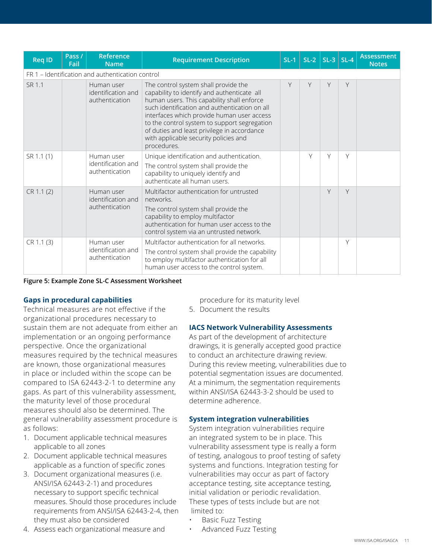| <b>Req ID</b>                                    | Pass /<br>Fail | Reference<br><b>Name</b>                           | <b>Requirement Description</b>                                                                                                                                                                                                                                                                                                                                                          | $SL-1$ | $SL-2$ | $SL-3$ $SL-4$ |   | <b>Assessment</b><br><b>Notes</b> |
|--------------------------------------------------|----------------|----------------------------------------------------|-----------------------------------------------------------------------------------------------------------------------------------------------------------------------------------------------------------------------------------------------------------------------------------------------------------------------------------------------------------------------------------------|--------|--------|---------------|---|-----------------------------------|
| FR 1 - Identification and authentication control |                |                                                    |                                                                                                                                                                                                                                                                                                                                                                                         |        |        |               |   |                                   |
| SR 1.1                                           |                | Human user<br>identification and<br>authentication | The control system shall provide the<br>capability to identify and authenticate all<br>human users. This capability shall enforce<br>such identification and authentication on all<br>interfaces which provide human user access<br>to the control system to support segregation<br>of duties and least privilege in accordance<br>with applicable security policies and<br>procedures. | Y      | Y      | Y             | Y |                                   |
| SR 1.1 (1)                                       |                | Human user<br>identification and<br>authentication | Unique identification and authentication.<br>The control system shall provide the<br>capability to uniquely identify and<br>authenticate all human users.                                                                                                                                                                                                                               |        | Υ      | Υ             | Υ |                                   |
| CR 1.1 (2)                                       |                | Human user<br>identification and<br>authentication | Multifactor authentication for untrusted<br>networks.<br>The control system shall provide the<br>capability to employ multifactor<br>authentication for human user access to the<br>control system via an untrusted network.                                                                                                                                                            |        |        | Y             | Y |                                   |
| CR 1.1 (3)                                       |                | Human user<br>identification and<br>authentication | Multifactor authentication for all networks.<br>The control system shall provide the capability<br>to employ multifactor authentication for all<br>human user access to the control system.                                                                                                                                                                                             |        |        |               | Y |                                   |

**Figure 5: Example Zone SL-C Assessment Worksheet**

#### **Gaps in procedural capabilities**

Technical measures are not effective if the organizational procedures necessary to sustain them are not adequate from either an implementation or an ongoing performance perspective. Once the organizational measures required by the technical measures are known, those organizational measures in place or included within the scope can be compared to ISA 62443-2-1 to determine any gaps. As part of this vulnerability assessment, the maturity level of those procedural measures should also be determined. The general vulnerability assessment procedure is as follows:

- 1. Document applicable technical measures applicable to all zones
- 2. Document applicable technical measures applicable as a function of specific zones
- 3. Document organizational measures (i.e. ANSI/ISA 62443-2-1) and procedures necessary to support specific technical measures. Should those procedures include requirements from ANSI/ISA 62443-2-4, then they must also be considered
- 4. Assess each organizational measure and

procedure for its maturity level

5. Document the results

#### **IACS Network Vulnerability Assessments**

As part of the development of architecture drawings, it is generally accepted good practice to conduct an architecture drawing review. During this review meeting, vulnerabilities due to potential segmentation issues are documented. At a minimum, the segmentation requirements within ANSI/ISA 62443-3-2 should be used to determine adherence.

#### **System integration vulnerabilities**

System integration vulnerabilities require an integrated system to be in place. This vulnerability assessment type is really a form of testing, analogous to proof testing of safety systems and functions. Integration testing for vulnerabilities may occur as part of factory acceptance testing, site acceptance testing, initial validation or periodic revalidation. These types of tests include but are not limited to:

- Basic Fuzz Testing
- Advanced Fuzz Testing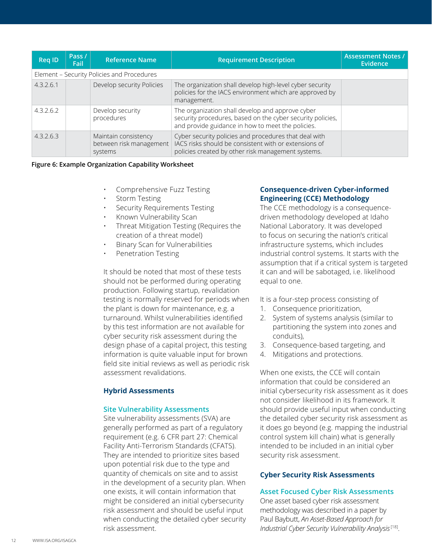| <b>Req ID</b>                              | Pass /<br>Fail | <b>Reference Name</b>                                      | <b>Requirement Description</b>                                                                                                                                       | <b>Assessment Notes /</b><br>Evidence |  |  |  |  |
|--------------------------------------------|----------------|------------------------------------------------------------|----------------------------------------------------------------------------------------------------------------------------------------------------------------------|---------------------------------------|--|--|--|--|
| Element - Security Policies and Procedures |                |                                                            |                                                                                                                                                                      |                                       |  |  |  |  |
| 4.3.2.6.1                                  |                | Develop security Policies                                  | The organization shall develop high-level cyber security<br>policies for the IACS environment which are approved by<br>management.                                   |                                       |  |  |  |  |
| 4.3.2.6.2                                  |                | Develop security<br>procedures                             | The organization shall develop and approve cyber<br>security procedures, based on the cyber security policies,<br>and provide guidance in how to meet the policies.  |                                       |  |  |  |  |
| 43263                                      |                | Maintain consistency<br>between risk management<br>systems | Cyber security policies and procedures that deal with<br>IACS risks should be consistent with or extensions of<br>policies created by other risk management systems. |                                       |  |  |  |  |

#### **Figure 6: Example Organization Capability Worksheet**

- Comprehensive Fuzz Testing
- Storm Testing
- Security Requirements Testing
- Known Vulnerability Scan
- Threat Mitigation Testing (Requires the creation of a threat model)
- Binary Scan for Vulnerabilities
- Penetration Testing

It should be noted that most of these tests should not be performed during operating production. Following startup, revalidation testing is normally reserved for periods when the plant is down for maintenance, e.g. a turnaround. Whilst vulnerabilities identified by this test information are not available for cyber security risk assessment during the design phase of a capital project, this testing information is quite valuable input for brown field site initial reviews as well as periodic risk assessment revalidations.

#### **Hybrid Assessments**

#### **Site Vulnerability Assessments**

Site vulnerability assessments (SVA) are generally performed as part of a regulatory requirement (e.g. 6 CFR part 27: Chemical Facility Anti-Terrorism Standards (CFATS). They are intended to prioritize sites based upon potential risk due to the type and quantity of chemicals on site and to assist in the development of a security plan. When one exists, it will contain information that might be considered an initial cybersecurity risk assessment and should be useful input when conducting the detailed cyber security risk assessment.

#### **Consequence-driven Cyber-informed Engineering (CCE) Methodology**

The CCE methodology is a consequencedriven methodology developed at Idaho National Laboratory. It was developed to focus on securing the nation's critical infrastructure systems, which includes industrial control systems. It starts with the assumption that if a critical system is targeted it can and will be sabotaged, i.e. likelihood equal to one.

It is a four-step process consisting of

- 1. Consequence prioritization,
- 2. System of systems analysis (similar to partitioning the system into zones and conduits),
- 3. Consequence-based targeting, and
- 4. Mitigations and protections.

When one exists, the CCE will contain information that could be considered an initial cybersecurity risk assessment as it does not consider likelihood in its framework. It should provide useful input when conducting the detailed cyber security risk assessment as it does go beyond (e.g. mapping the industrial control system kill chain) what is generally intended to be included in an initial cyber security risk assessment.

#### **Cyber Security Risk Assessments**

#### **Asset Focused Cyber Risk Assessments**

One asset based cyber risk assessment methodology was described in a paper by Paul Baybutt, *An Asset-Based Approach for Industrial Cyber Security Vulnerability Analysis* [18].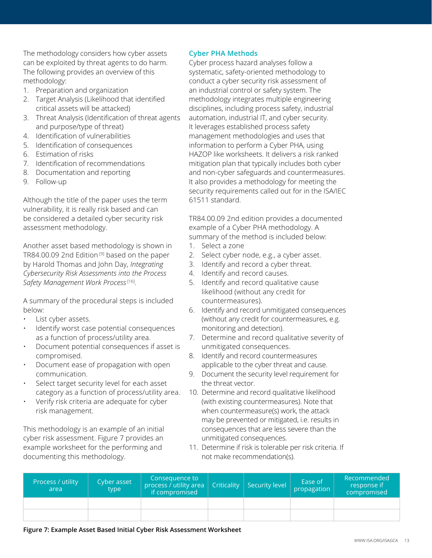The methodology considers how cyber assets can be exploited by threat agents to do harm. The following provides an overview of this methodology:

- 1. Preparation and organization
- 2. Target Analysis (Likelihood that identified critical assets will be attacked)
- 3. Threat Analysis (Identification of threat agents and purpose/type of threat)
- 4. Identification of vulnerabilities
- 5. Identification of consequences
- 6. Estimation of risks
- 7. Identification of recommendations
- 8. Documentation and reporting
- 9. Follow-up

Although the title of the paper uses the term vulnerability, it is really risk based and can be considered a detailed cyber security risk assessment methodology.

Another asset based methodology is shown in TR84.00.09 2nd Edition<sup>[9]</sup> based on the paper by Harold Thomas and John Day, *Integrating Cybersecurity Risk Assessments into the Process Safety Management Work Process* [16].

A summary of the procedural steps is included below:

- List cyber assets.
- Identify worst case potential consequences as a function of process/utility area.
- Document potential consequences if asset is compromised.
- Document ease of propagation with open communication.
- Select target security level for each asset category as a function of process/utility area.
- Verify risk criteria are adequate for cyber risk management.

This methodology is an example of an initial cyber risk assessment. Figure 7 provides an example worksheet for the performing and documenting this methodology.

#### **Cyber PHA Methods**

Cyber process hazard analyses follow a systematic, safety-oriented methodology to conduct a cyber security risk assessment of an industrial control or safety system. The methodology integrates multiple engineering disciplines, including process safety, industrial automation, industrial IT, and cyber security. It leverages established process safety management methodologies and uses that information to perform a Cyber PHA, using HAZOP like worksheets. It delivers a risk ranked mitigation plan that typically includes both cyber and non-cyber safeguards and countermeasures. It also provides a methodology for meeting the security requirements called out for in the ISA/IEC 61511 standard.

TR84.00.09 2nd edition provides a documented example of a Cyber PHA methodology. A summary of the method is included below:

- 1. Select a zone
- 2. Select cyber node, e.g., a cyber asset.
- 3. Identify and record a cyber threat.
- 4. Identify and record causes.
- 5. Identify and record qualitative cause likelihood (without any credit for countermeasures).
- 6. Identify and record unmitigated consequences (without any credit for countermeasures, e.g. monitoring and detection).
- 7. Determine and record qualitative severity of unmitigated consequences.
- 8. Identify and record countermeasures applicable to the cyber threat and cause.
- 9. Document the security level requirement for the threat vector.
- 10. Determine and record qualitative likelihood (with existing countermeasures). Note that when countermeasure(s) work, the attack may be prevented or mitigated, i.e. results in consequences that are less severe than the unmitigated consequences.
- 11. Determine if risk is tolerable per risk criteria. If not make recommendation(s).

| Process / utility<br>area | Cyber asset<br>type | Consequence to<br>process / utility area<br>if compromised | Criticality   Security level | Ease of<br>propagation | Recommended<br>response if<br>compromised |
|---------------------------|---------------------|------------------------------------------------------------|------------------------------|------------------------|-------------------------------------------|
|                           |                     |                                                            |                              |                        |                                           |
|                           |                     |                                                            |                              |                        |                                           |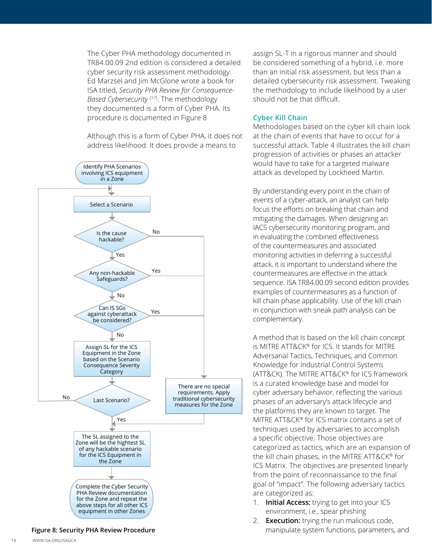The Cyber PHA methodology documented in TR84.00.09 2nd edition is considered a detailed cyber security risk assessment methodology. Ed Marzsel and Jim McGlone wrote a book for ISA titled, *Security PHA Review for Consequence-Based Cybersecurity* [17]. The methodology they documented is a form of Cyber PHA. Its procedure is documented in Figure 8

Although this is a form of Cyber PHA, it does not address likelihood. It does provide a means to



**Figure 8: Security PHA Review Procedure**

assign SL-T in a rigorous manner and should be considered something of a hybrid, i.e. more than an initial risk assessment, but less than a detailed cybersecurity risk assessment. Tweaking the methodology to include likelihood by a user should not be that difficult.

#### **Cyber Kill Chain**

Methodologies based on the cyber kill chain look at the chain of events that have to occur for a successful attack. Table 4 illustrates the kill chain progression of activities or phases an attacker would have to take for a targeted malware attack as developed by Lockheed Martin.

By understanding every point in the chain of events of a cyber-attack, an analyst can help focus the efforts on breaking that chain and mitigating the damages. When designing an IACS cybersecurity monitoring program, and in evaluating the combined effectiveness of the countermeasures and associated monitoring activities in deferring a successful attack, it is important to understand where the countermeasures are effective in the attack sequence. ISA TR84.00.09 second edition provides examples of countermeasures as a function of kill chain phase applicability. Use of the kill chain in conjunction with sneak path analysis can be complementary.

A method that is based on the kill chain concept is MITRE ATT&CK® for ICS. It stands for MITRE Adversarial Tactics, Techniques, and Common Knowledge for Industrial Control Systems (ATT&CK). The MITRE ATT&CK® for ICS framework is a curated knowledge base and model for cyber adversary behavior, reflecting the various phases of an adversary's attack lifecycle and the platforms they are known to target. The MITRE ATT&CK® for ICS matrix contains a set of techniques used by adversaries to accomplish a specific objective. Those objectives are categorized as tactics, which are an expansion of the kill chain phases, in the MITRE ATT&CK® for ICS Matrix. The objectives are presented linearly from the point of reconnaissance to the final goal of "impact". The following adversary tactics are categorized as:

- 1. **Initial Access:** trying to get into your ICS environment, i.e., spear phishing
- 2. **Execution:** trying the run malicious code, manipulate system functions, parameters, and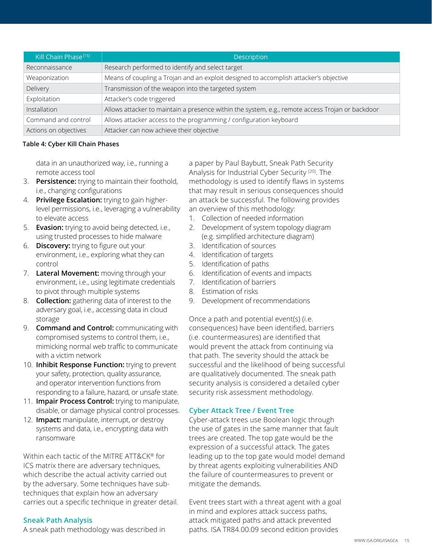| Kill Chain Phase <sup>[15]</sup> | <b>Description</b>                                                                               |
|----------------------------------|--------------------------------------------------------------------------------------------------|
| Reconnaissance                   | Research performed to identify and select target                                                 |
| Weaponization                    | Means of coupling a Trojan and an exploit designed to accomplish attacker's objective            |
| Delivery                         | Transmission of the weapon into the targeted system                                              |
| Exploitation                     | Attacker's code triggered                                                                        |
| Installation                     | Allows attacker to maintain a presence within the system, e.g., remote access Trojan or backdoor |
| Command and control              | Allows attacker access to the programming / configuration keyboard                               |
| Actions on objectives            | Attacker can now achieve their objective                                                         |

#### **Table 4: Cyber Kill Chain Phases**

data in an unauthorized way, i.e., running a remote access tool

- 3. **Persistence:** trying to maintain their foothold, i.e., changing configurations
- 4. **Privilege Escalation:** trying to gain higherlevel permissions, i.e., leveraging a vulnerability to elevate access
- 5. **Evasion:** trying to avoid being detected, i.e., using trusted processes to hide malware
- 6. **Discovery:** trying to figure out your environment, i.e., exploring what they can control
- 7. **Lateral Movement:** moving through your environment, i.e., using legitimate credentials to pivot through multiple systems
- 8. **Collection:** gathering data of interest to the adversary goal, i.e., accessing data in cloud storage
- 9. **Command and Control:** communicating with compromised systems to control them, i.e., mimicking normal web traffic to communicate with a victim network
- 10. **Inhibit Response Function:** trying to prevent your safety, protection, quality assurance, and operator intervention functions from responding to a failure, hazard, or unsafe state.
- 11. **Impair Process Control:** trying to manipulate, disable, or damage physical control processes.
- 12. **Impact:** manipulate, interrupt, or destroy systems and data, i.e., encrypting data with ransomware

Within each tactic of the MITRE ATT&CK® for ICS matrix there are adversary techniques, which describe the actual activity carried out by the adversary. Some techniques have subtechniques that explain how an adversary carries out a specific technique in greater detail.

#### **Sneak Path Analysis**

A sneak path methodology was described in

a paper by Paul Baybutt, Sneak Path Security Analysis for Industrial Cyber Security [20]. The methodology is used to identify flaws in systems that may result in serious consequences should an attack be successful. The following provides an overview of this methodology:

- 1. Collection of needed information
- 2. Development of system topology diagram (e.g. simplified architecture diagram)
- 3. Identification of sources
- 4. Identification of targets
- 5. Identification of paths
- 6. Identification of events and impacts
- 7. Identification of barriers
- 8. Estimation of risks
- 9. Development of recommendations

Once a path and potential event(s) (i.e. consequences) have been identified, barriers (i.e. countermeasures) are identified that would prevent the attack from continuing via that path. The severity should the attack be successful and the likelihood of being successful are qualitatively documented. The sneak path security analysis is considered a detailed cyber security risk assessment methodology.

#### **Cyber Attack Tree / Event Tree**

Cyber-attack trees use Boolean logic through the use of gates in the same manner that fault trees are created. The top gate would be the expression of a successful attack. The gates leading up to the top gate would model demand by threat agents exploiting vulnerabilities AND the failure of countermeasures to prevent or mitigate the demands.

Event trees start with a threat agent with a goal in mind and explores attack success paths, attack mitigated paths and attack prevented paths. ISA TR84.00.09 second edition provides